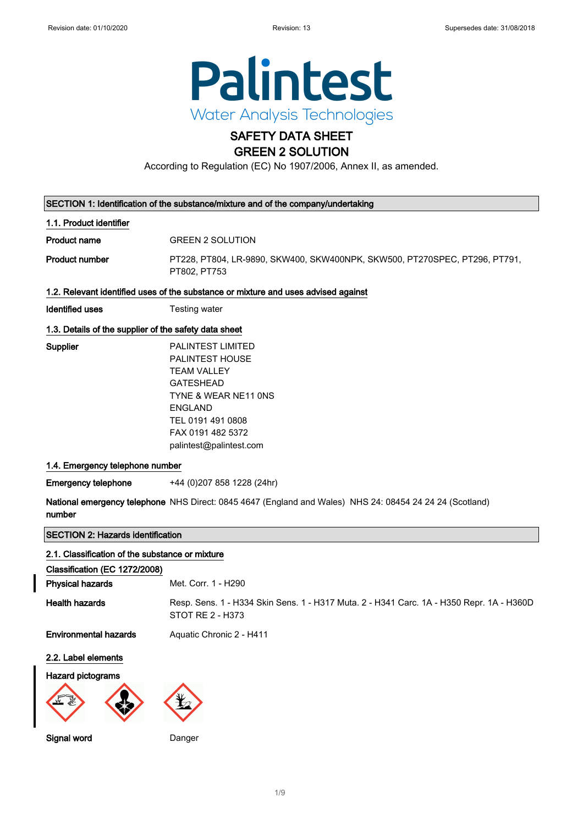

### SAFETY DATA SHEET GREEN 2 SOLUTION

According to Regulation (EC) No 1907/2006, Annex II, as amended.

|                                                                                     | SECTION 1: Identification of the substance/mixture and of the company/undertaking                                                                                                                                                                                                                                                                      |
|-------------------------------------------------------------------------------------|--------------------------------------------------------------------------------------------------------------------------------------------------------------------------------------------------------------------------------------------------------------------------------------------------------------------------------------------------------|
| 1.1. Product identifier                                                             |                                                                                                                                                                                                                                                                                                                                                        |
| <b>Product name</b>                                                                 | <b>GREEN 2 SOLUTION</b>                                                                                                                                                                                                                                                                                                                                |
| <b>Product number</b>                                                               | PT228, PT804, LR-9890, SKW400, SKW400NPK, SKW500, PT270SPEC, PT296, PT791,<br>PT802, PT753                                                                                                                                                                                                                                                             |
|                                                                                     | 1.2. Relevant identified uses of the substance or mixture and uses advised against                                                                                                                                                                                                                                                                     |
| <b>Identified uses</b>                                                              | Testing water                                                                                                                                                                                                                                                                                                                                          |
| 1.3. Details of the supplier of the safety data sheet                               |                                                                                                                                                                                                                                                                                                                                                        |
| Supplier<br>1.4. Emergency telephone number<br><b>Emergency telephone</b><br>number | <b>PALINTEST LIMITED</b><br><b>PALINTEST HOUSE</b><br><b>TEAM VALLEY</b><br><b>GATESHEAD</b><br>TYNE & WEAR NE11 ONS<br><b>ENGLAND</b><br>TEL 0191 491 0808<br>FAX 0191 482 5372<br>palintest@palintest.com<br>+44 (0) 207 858 1228 (24hr)<br>National emergency telephone NHS Direct: 0845 4647 (England and Wales) NHS 24: 08454 24 24 24 (Scotland) |
| <b>SECTION 2: Hazards identification</b>                                            |                                                                                                                                                                                                                                                                                                                                                        |
| 2.1. Classification of the substance or mixture                                     |                                                                                                                                                                                                                                                                                                                                                        |
| Classification (EC 1272/2008)                                                       |                                                                                                                                                                                                                                                                                                                                                        |
| <b>Physical hazards</b>                                                             | Met. Corr. 1 - H290                                                                                                                                                                                                                                                                                                                                    |
| <b>Health hazards</b>                                                               | Resp. Sens. 1 - H334 Skin Sens. 1 - H317 Muta. 2 - H341 Carc. 1A - H350 Repr. 1A - H360D<br>STOT RE 2 - H373                                                                                                                                                                                                                                           |
| <b>Environmental hazards</b>                                                        | Aquatic Chronic 2 - H411                                                                                                                                                                                                                                                                                                                               |
| 2.2. Label elements                                                                 |                                                                                                                                                                                                                                                                                                                                                        |

#### Hazard pictograms



Signal word Danger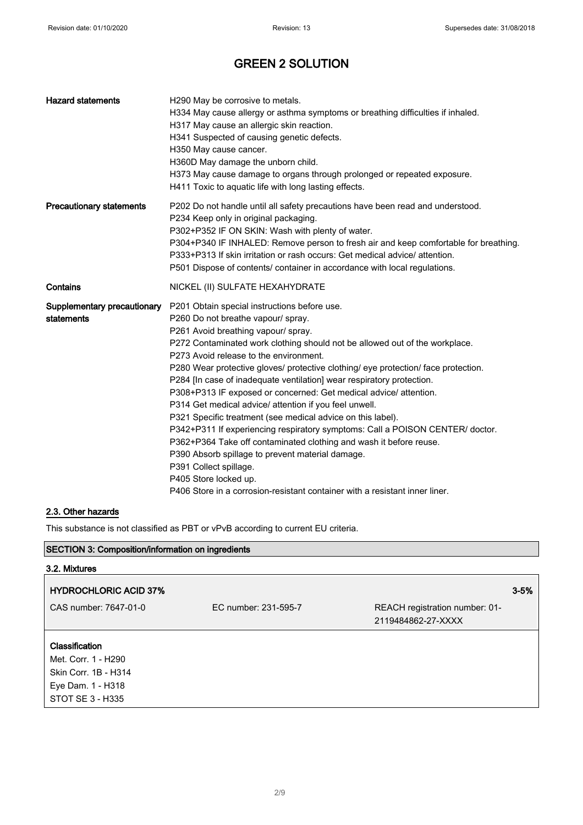| <b>Hazard statements</b>                  | H290 May be corrosive to metals.<br>H334 May cause allergy or asthma symptoms or breathing difficulties if inhaled.<br>H317 May cause an allergic skin reaction.<br>H341 Suspected of causing genetic defects.<br>H350 May cause cancer.<br>H360D May damage the unborn child.<br>H373 May cause damage to organs through prolonged or repeated exposure.<br>H411 Toxic to aquatic life with long lasting effects.                                                                                                                                                                                                                                                                                                                                                                                                                                                                                                                                           |
|-------------------------------------------|--------------------------------------------------------------------------------------------------------------------------------------------------------------------------------------------------------------------------------------------------------------------------------------------------------------------------------------------------------------------------------------------------------------------------------------------------------------------------------------------------------------------------------------------------------------------------------------------------------------------------------------------------------------------------------------------------------------------------------------------------------------------------------------------------------------------------------------------------------------------------------------------------------------------------------------------------------------|
| <b>Precautionary statements</b>           | P202 Do not handle until all safety precautions have been read and understood.<br>P234 Keep only in original packaging.<br>P302+P352 IF ON SKIN: Wash with plenty of water.<br>P304+P340 IF INHALED: Remove person to fresh air and keep comfortable for breathing.<br>P333+P313 If skin irritation or rash occurs: Get medical advice/attention.<br>P501 Dispose of contents/ container in accordance with local regulations.                                                                                                                                                                                                                                                                                                                                                                                                                                                                                                                               |
| Contains                                  | NICKEL (II) SULFATE HEXAHYDRATE                                                                                                                                                                                                                                                                                                                                                                                                                                                                                                                                                                                                                                                                                                                                                                                                                                                                                                                              |
| Supplementary precautionary<br>statements | P201 Obtain special instructions before use.<br>P260 Do not breathe vapour/ spray.<br>P261 Avoid breathing vapour/ spray.<br>P272 Contaminated work clothing should not be allowed out of the workplace.<br>P273 Avoid release to the environment.<br>P280 Wear protective gloves/ protective clothing/ eye protection/ face protection.<br>P284 [In case of inadequate ventilation] wear respiratory protection.<br>P308+P313 IF exposed or concerned: Get medical advice/ attention.<br>P314 Get medical advice/ attention if you feel unwell.<br>P321 Specific treatment (see medical advice on this label).<br>P342+P311 If experiencing respiratory symptoms: Call a POISON CENTER/ doctor.<br>P362+P364 Take off contaminated clothing and wash it before reuse.<br>P390 Absorb spillage to prevent material damage.<br>P391 Collect spillage.<br>P405 Store locked up.<br>P406 Store in a corrosion-resistant container with a resistant inner liner. |

### 2.3. Other hazards

This substance is not classified as PBT or vPvB according to current EU criteria.

### SECTION 3: Composition/information on ingredients

| 3.2. Mixtures                         |                      |                                                      |          |
|---------------------------------------|----------------------|------------------------------------------------------|----------|
| <b>HYDROCHLORIC ACID 37%</b>          |                      |                                                      | $3 - 5%$ |
| CAS number: 7647-01-0                 | EC number: 231-595-7 | REACH registration number: 01-<br>2119484862-27-XXXX |          |
| Classification<br>Met. Corr. 1 - H290 |                      |                                                      |          |
| Skin Corr. 1B - H314                  |                      |                                                      |          |
| Eye Dam. 1 - H318                     |                      |                                                      |          |
| STOT SE 3 - H335                      |                      |                                                      |          |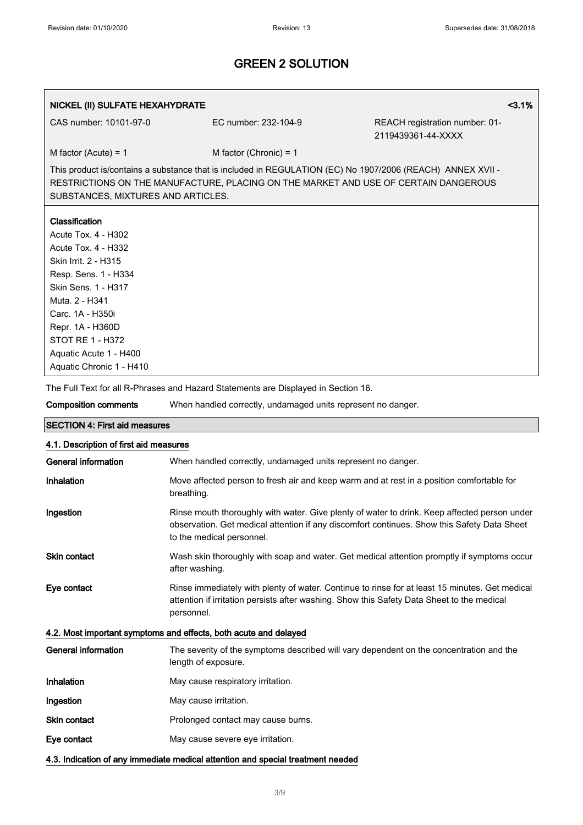| NICKEL (II) SULFATE HEXAHYDRATE                                                                                                                                                                                                                                                              |                                                                                    | 3.1%                                                                                                                                                                                              |
|----------------------------------------------------------------------------------------------------------------------------------------------------------------------------------------------------------------------------------------------------------------------------------------------|------------------------------------------------------------------------------------|---------------------------------------------------------------------------------------------------------------------------------------------------------------------------------------------------|
| CAS number: 10101-97-0                                                                                                                                                                                                                                                                       | EC number: 232-104-9                                                               | REACH registration number: 01-<br>2119439361-44-XXXX                                                                                                                                              |
| M factor (Acute) = $1$                                                                                                                                                                                                                                                                       | M factor (Chronic) = $1$                                                           |                                                                                                                                                                                                   |
| SUBSTANCES, MIXTURES AND ARTICLES.                                                                                                                                                                                                                                                           |                                                                                    | This product is/contains a substance that is included in REGULATION (EC) No 1907/2006 (REACH) ANNEX XVII -<br>RESTRICTIONS ON THE MANUFACTURE, PLACING ON THE MARKET AND USE OF CERTAIN DANGEROUS |
| Classification<br><b>Acute Tox. 4 - H302</b><br><b>Acute Tox. 4 - H332</b><br>Skin Irrit. 2 - H315<br>Resp. Sens. 1 - H334<br>Skin Sens. 1 - H317<br>Muta. 2 - H341<br>Carc. 1A - H350i<br>Repr. 1A - H360D<br><b>STOT RE 1 - H372</b><br>Aquatic Acute 1 - H400<br>Aquatic Chronic 1 - H410 |                                                                                    |                                                                                                                                                                                                   |
|                                                                                                                                                                                                                                                                                              | The Full Text for all R-Phrases and Hazard Statements are Displayed in Section 16. |                                                                                                                                                                                                   |
| <b>Composition comments</b>                                                                                                                                                                                                                                                                  | When handled correctly, undamaged units represent no danger.                       |                                                                                                                                                                                                   |
| <b>SECTION 4: First aid measures</b>                                                                                                                                                                                                                                                         |                                                                                    |                                                                                                                                                                                                   |
| 4.1. Description of first aid measures                                                                                                                                                                                                                                                       |                                                                                    |                                                                                                                                                                                                   |
| <b>General information</b>                                                                                                                                                                                                                                                                   | When handled correctly, undamaged units represent no danger.                       |                                                                                                                                                                                                   |
| Inhalation                                                                                                                                                                                                                                                                                   | breathing.                                                                         | Move affected person to fresh air and keep warm and at rest in a position comfortable for                                                                                                         |
| Ingestion                                                                                                                                                                                                                                                                                    | to the medical personnel.                                                          | Rinse mouth thoroughly with water. Give plenty of water to drink. Keep affected person under<br>observation. Get medical attention if any discomfort continues. Show this Safety Data Sheet       |
| Skin contact                                                                                                                                                                                                                                                                                 | after washing.                                                                     | Wash skin thoroughly with soap and water. Get medical attention promptly if symptoms occur                                                                                                        |
| Eye contact                                                                                                                                                                                                                                                                                  | personnel.                                                                         | Rinse immediately with plenty of water. Continue to rinse for at least 15 minutes. Get medical<br>attention if irritation persists after washing. Show this Safety Data Sheet to the medical      |
|                                                                                                                                                                                                                                                                                              | 4.2. Most important symptoms and effects, both acute and delayed                   |                                                                                                                                                                                                   |
| <b>General information</b>                                                                                                                                                                                                                                                                   | length of exposure.                                                                | The severity of the symptoms described will vary dependent on the concentration and the                                                                                                           |
| Inhalation                                                                                                                                                                                                                                                                                   | May cause respiratory irritation.                                                  |                                                                                                                                                                                                   |

- Ingestion May cause irritation.
- Skin contact **Skin contact** Prolonged contact may cause burns.
- Eye contact May cause severe eye irritation.

4.3. Indication of any immediate medical attention and special treatment needed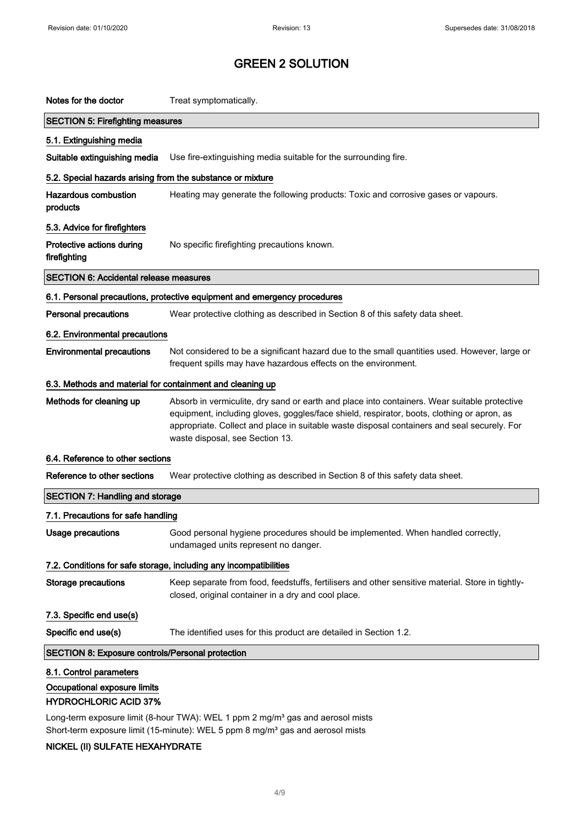| Notes for the doctor                                                                    | Treat symptomatically.                                                                                                                                                                                                                                                                                                       |
|-----------------------------------------------------------------------------------------|------------------------------------------------------------------------------------------------------------------------------------------------------------------------------------------------------------------------------------------------------------------------------------------------------------------------------|
| <b>SECTION 5: Firefighting measures</b>                                                 |                                                                                                                                                                                                                                                                                                                              |
| 5.1. Extinguishing media                                                                |                                                                                                                                                                                                                                                                                                                              |
| Suitable extinguishing media                                                            | Use fire-extinguishing media suitable for the surrounding fire.                                                                                                                                                                                                                                                              |
| 5.2. Special hazards arising from the substance or mixture                              |                                                                                                                                                                                                                                                                                                                              |
| <b>Hazardous combustion</b><br>products                                                 | Heating may generate the following products: Toxic and corrosive gases or vapours.                                                                                                                                                                                                                                           |
| 5.3. Advice for firefighters                                                            |                                                                                                                                                                                                                                                                                                                              |
| Protective actions during<br>firefighting                                               | No specific firefighting precautions known.                                                                                                                                                                                                                                                                                  |
| <b>SECTION 6: Accidental release measures</b>                                           |                                                                                                                                                                                                                                                                                                                              |
|                                                                                         | 6.1. Personal precautions, protective equipment and emergency procedures                                                                                                                                                                                                                                                     |
| <b>Personal precautions</b>                                                             | Wear protective clothing as described in Section 8 of this safety data sheet.                                                                                                                                                                                                                                                |
| 6.2. Environmental precautions                                                          |                                                                                                                                                                                                                                                                                                                              |
| <b>Environmental precautions</b>                                                        | Not considered to be a significant hazard due to the small quantities used. However, large or<br>frequent spills may have hazardous effects on the environment.                                                                                                                                                              |
| 6.3. Methods and material for containment and cleaning up                               |                                                                                                                                                                                                                                                                                                                              |
| Methods for cleaning up                                                                 | Absorb in vermiculite, dry sand or earth and place into containers. Wear suitable protective<br>equipment, including gloves, goggles/face shield, respirator, boots, clothing or apron, as<br>appropriate. Collect and place in suitable waste disposal containers and seal securely. For<br>waste disposal, see Section 13. |
| 6.4. Reference to other sections                                                        |                                                                                                                                                                                                                                                                                                                              |
| Reference to other sections                                                             | Wear protective clothing as described in Section 8 of this safety data sheet.                                                                                                                                                                                                                                                |
| <b>SECTION 7: Handling and storage</b>                                                  |                                                                                                                                                                                                                                                                                                                              |
| 7.1. Precautions for safe handling                                                      |                                                                                                                                                                                                                                                                                                                              |
| Usage precautions                                                                       | Good personal hygiene procedures should be implemented. When handled correctly,<br>undamaged units represent no danger.                                                                                                                                                                                                      |
|                                                                                         | 7.2. Conditions for safe storage, including any incompatibilities                                                                                                                                                                                                                                                            |
| <b>Storage precautions</b>                                                              | Keep separate from food, feedstuffs, fertilisers and other sensitive material. Store in tightly-<br>closed, original container in a dry and cool place.                                                                                                                                                                      |
| 7.3. Specific end use(s)                                                                |                                                                                                                                                                                                                                                                                                                              |
| Specific end use(s)                                                                     | The identified uses for this product are detailed in Section 1.2.                                                                                                                                                                                                                                                            |
| <b>SECTION 8: Exposure controls/Personal protection</b>                                 |                                                                                                                                                                                                                                                                                                                              |
| 8.1. Control parameters<br>Occupational exposure limits<br><b>HYDROCHLORIC ACID 37%</b> |                                                                                                                                                                                                                                                                                                                              |

Long-term exposure limit (8-hour TWA): WEL 1 ppm 2 mg/m<sup>3</sup> gas and aerosol mists Short-term exposure limit (15-minute): WEL 5 ppm 8 mg/m<sup>3</sup> gas and aerosol mists

### NICKEL (II) SULFATE HEXAHYDRATE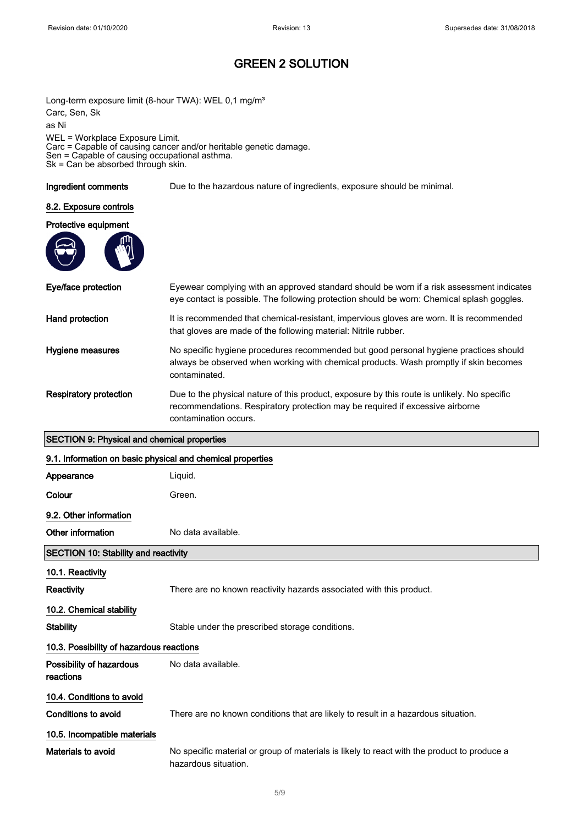Long-term exposure limit (8-hour TWA): WEL 0,1 mg/m<sup>3</sup> Carc, Sen, Sk as Ni WEL = Workplace Exposure Limit. Carc = Capable of causing cancer and/or heritable genetic damage. Sen = Capable of causing occupational asthma. Sk = Can be absorbed through skin.

Ingredient comments Due to the hazardous nature of ingredients, exposure should be minimal.

#### 8.2. Exposure controls

#### Protective equipment



| Eye/face protection                                        | Eyewear complying with an approved standard should be worn if a risk assessment indicates<br>eye contact is possible. The following protection should be worn: Chemical splash goggles.               |  |
|------------------------------------------------------------|-------------------------------------------------------------------------------------------------------------------------------------------------------------------------------------------------------|--|
| Hand protection                                            | It is recommended that chemical-resistant, impervious gloves are worn. It is recommended<br>that gloves are made of the following material: Nitrile rubber.                                           |  |
| Hygiene measures                                           | No specific hygiene procedures recommended but good personal hygiene practices should<br>always be observed when working with chemical products. Wash promptly if skin becomes<br>contaminated.       |  |
| <b>Respiratory protection</b>                              | Due to the physical nature of this product, exposure by this route is unlikely. No specific<br>recommendations. Respiratory protection may be required if excessive airborne<br>contamination occurs. |  |
| <b>SECTION 9: Physical and chemical properties</b>         |                                                                                                                                                                                                       |  |
| 9.1. Information on basic physical and chemical properties |                                                                                                                                                                                                       |  |
| Appearance                                                 | Liquid.                                                                                                                                                                                               |  |
| Colour                                                     | Green.                                                                                                                                                                                                |  |
| 9.2. Other information                                     |                                                                                                                                                                                                       |  |
| Other information                                          | No data available.                                                                                                                                                                                    |  |
| <b>SECTION 10: Stability and reactivity</b>                |                                                                                                                                                                                                       |  |
| 10.1. Reactivity                                           |                                                                                                                                                                                                       |  |
| Reactivity                                                 | There are no known reactivity hazards associated with this product.                                                                                                                                   |  |
| 10.2. Chemical stability                                   |                                                                                                                                                                                                       |  |
| <b>Stability</b>                                           | Stable under the prescribed storage conditions.                                                                                                                                                       |  |
| 10.3. Possibility of hazardous reactions                   |                                                                                                                                                                                                       |  |
| Desaibility of beneaders and the data custoble             |                                                                                                                                                                                                       |  |

| Possibility of hazardous<br>reactions | No data available.                                                                |
|---------------------------------------|-----------------------------------------------------------------------------------|
| 10.4. Conditions to avoid             |                                                                                   |
| Conditions to avoid                   | There are no known conditions that are likely to result in a hazardous situation. |
| 10.5. Incompatible materials          |                                                                                   |

Materials to avoid No specific material or group of materials is likely to react with the product to produce a hazardous situation.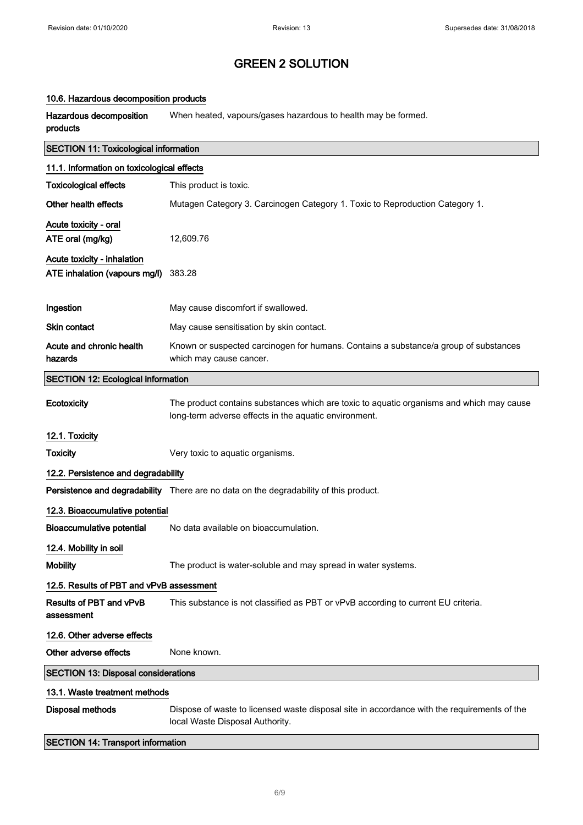### 10.6. Hazardous decomposition products

Hazardous decomposition products When heated, vapours/gases hazardous to health may be formed.

| <b>SECTION 11: Toxicological information</b>                 |                                                                                                                                                   |  |
|--------------------------------------------------------------|---------------------------------------------------------------------------------------------------------------------------------------------------|--|
| 11.1. Information on toxicological effects                   |                                                                                                                                                   |  |
| <b>Toxicological effects</b>                                 | This product is toxic.                                                                                                                            |  |
| Other health effects                                         | Mutagen Category 3. Carcinogen Category 1. Toxic to Reproduction Category 1.                                                                      |  |
| Acute toxicity - oral<br>ATE oral (mg/kg)                    | 12,609.76                                                                                                                                         |  |
| Acute toxicity - inhalation<br>ATE inhalation (vapours mg/l) | 383.28                                                                                                                                            |  |
| Ingestion                                                    | May cause discomfort if swallowed.                                                                                                                |  |
| <b>Skin contact</b>                                          | May cause sensitisation by skin contact.                                                                                                          |  |
| Acute and chronic health<br>hazards                          | Known or suspected carcinogen for humans. Contains a substance/a group of substances<br>which may cause cancer.                                   |  |
| <b>SECTION 12: Ecological information</b>                    |                                                                                                                                                   |  |
| Ecotoxicity                                                  | The product contains substances which are toxic to aquatic organisms and which may cause<br>long-term adverse effects in the aquatic environment. |  |
| 12.1. Toxicity                                               |                                                                                                                                                   |  |
| <b>Toxicity</b>                                              | Very toxic to aquatic organisms.                                                                                                                  |  |
| 12.2. Persistence and degradability                          |                                                                                                                                                   |  |
|                                                              | Persistence and degradability There are no data on the degradability of this product.                                                             |  |
| 12.3. Bioaccumulative potential                              |                                                                                                                                                   |  |
| <b>Bioaccumulative potential</b>                             | No data available on bioaccumulation.                                                                                                             |  |
| 12.4. Mobility in soil                                       |                                                                                                                                                   |  |
| <b>Mobility</b>                                              | The product is water-soluble and may spread in water systems.                                                                                     |  |
| 12.5. Results of PBT and vPvB assessment                     |                                                                                                                                                   |  |
| <b>Results of PBT and vPvB</b><br>assessment                 | This substance is not classified as PBT or vPvB according to current EU criteria.                                                                 |  |
| 12.6. Other adverse effects                                  |                                                                                                                                                   |  |
| Other adverse effects                                        | None known.                                                                                                                                       |  |
| <b>SECTION 13: Disposal considerations</b>                   |                                                                                                                                                   |  |
| 13.1. Waste treatment methods                                |                                                                                                                                                   |  |
| <b>Disposal methods</b>                                      | Dispose of waste to licensed waste disposal site in accordance with the requirements of the<br>local Waste Disposal Authority.                    |  |
|                                                              |                                                                                                                                                   |  |

SECTION 14: Transport information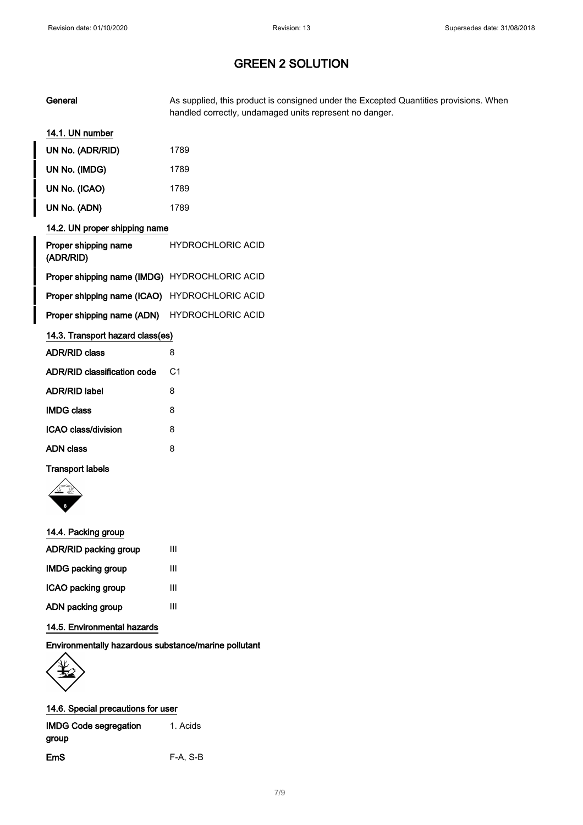| General                                       | As supplied, this product is consigned under the Excepted Quantities provisions. When<br>handled correctly, undamaged units represent no danger. |
|-----------------------------------------------|--------------------------------------------------------------------------------------------------------------------------------------------------|
| 14.1. UN number                               |                                                                                                                                                  |
| UN No. (ADR/RID)                              | 1789                                                                                                                                             |
| UN No. (IMDG)                                 | 1789                                                                                                                                             |
| UN No. (ICAO)                                 | 1789                                                                                                                                             |
| UN No. (ADN)                                  | 1789                                                                                                                                             |
| 14.2. UN proper shipping name                 |                                                                                                                                                  |
| Proper shipping name<br>(ADR/RID)             | <b>HYDROCHLORIC ACID</b>                                                                                                                         |
| Proper shipping name (IMDG) HYDROCHLORIC ACID |                                                                                                                                                  |
| Proper shipping name (ICAO)                   | <b>HYDROCHLORIC ACID</b>                                                                                                                         |
| Proper shipping name (ADN)                    | <b>HYDROCHLORIC ACID</b>                                                                                                                         |
| 14.3. Transport hazard class(es)              |                                                                                                                                                  |
| <b>ADR/RID class</b>                          | 8                                                                                                                                                |
| ADR/RID classification code                   | C <sub>1</sub>                                                                                                                                   |
| <b>ADR/RID label</b>                          | 8                                                                                                                                                |
| <b>IMDG class</b>                             | 8                                                                                                                                                |
| <b>ICAO class/division</b>                    | 8                                                                                                                                                |
| <b>ADN class</b>                              | 8                                                                                                                                                |

#### Transport labels



| 14.4. Packing group       |   |
|---------------------------|---|
| ADR/RID packing group     | Ш |
| <b>IMDG packing group</b> | Ш |
| ICAO packing group        | Ш |
| ADN packing group         | ш |
|                           |   |

### 14.5. Environmental hazards

### Environmentally hazardous substance/marine pollutant



| <b>IMDG Code segregation</b> | 1. Acids   |  |
|------------------------------|------------|--|
| group                        |            |  |
| EmS                          | $F-A, S-B$ |  |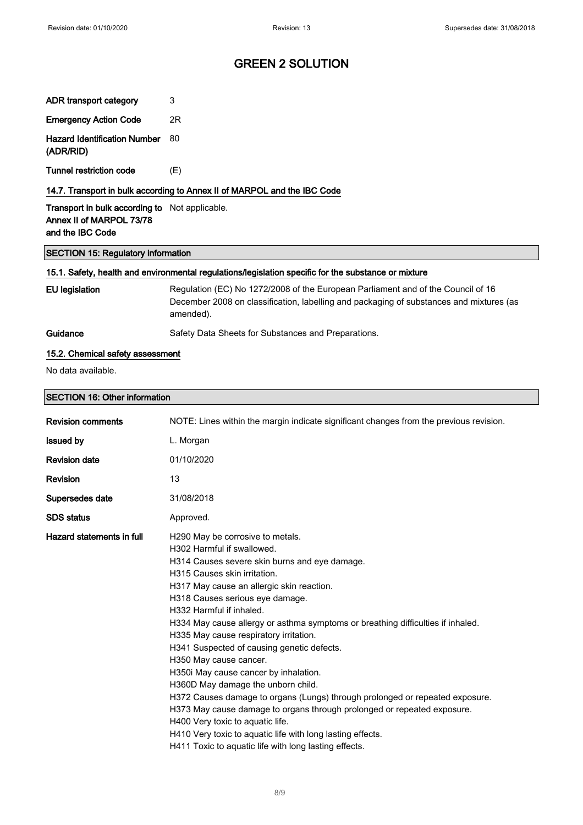ADR transport category 3

# GREEN 2 SOLUTION

| <b>Emergency Action Code</b>                                                                         | 2R                                                                                                                                                                                                                                                                                                                                                                                                                                                                                                                                                                                                                                                                                                                                                                                                                                                                    |
|------------------------------------------------------------------------------------------------------|-----------------------------------------------------------------------------------------------------------------------------------------------------------------------------------------------------------------------------------------------------------------------------------------------------------------------------------------------------------------------------------------------------------------------------------------------------------------------------------------------------------------------------------------------------------------------------------------------------------------------------------------------------------------------------------------------------------------------------------------------------------------------------------------------------------------------------------------------------------------------|
| <b>Hazard Identification Number</b><br>(ADR/RID)                                                     | 80                                                                                                                                                                                                                                                                                                                                                                                                                                                                                                                                                                                                                                                                                                                                                                                                                                                                    |
| <b>Tunnel restriction code</b>                                                                       | (E)                                                                                                                                                                                                                                                                                                                                                                                                                                                                                                                                                                                                                                                                                                                                                                                                                                                                   |
| 14.7. Transport in bulk according to Annex II of MARPOL and the IBC Code                             |                                                                                                                                                                                                                                                                                                                                                                                                                                                                                                                                                                                                                                                                                                                                                                                                                                                                       |
| Transport in bulk according to Not applicable.<br>Annex II of MARPOL 73/78<br>and the IBC Code       |                                                                                                                                                                                                                                                                                                                                                                                                                                                                                                                                                                                                                                                                                                                                                                                                                                                                       |
| <b>SECTION 15: Regulatory information</b>                                                            |                                                                                                                                                                                                                                                                                                                                                                                                                                                                                                                                                                                                                                                                                                                                                                                                                                                                       |
| 15.1. Safety, health and environmental regulations/legislation specific for the substance or mixture |                                                                                                                                                                                                                                                                                                                                                                                                                                                                                                                                                                                                                                                                                                                                                                                                                                                                       |
| <b>EU legislation</b>                                                                                | Regulation (EC) No 1272/2008 of the European Parliament and of the Council of 16<br>December 2008 on classification, labelling and packaging of substances and mixtures (as<br>amended).                                                                                                                                                                                                                                                                                                                                                                                                                                                                                                                                                                                                                                                                              |
| Guidance                                                                                             | Safety Data Sheets for Substances and Preparations.                                                                                                                                                                                                                                                                                                                                                                                                                                                                                                                                                                                                                                                                                                                                                                                                                   |
| 15.2. Chemical safety assessment                                                                     |                                                                                                                                                                                                                                                                                                                                                                                                                                                                                                                                                                                                                                                                                                                                                                                                                                                                       |
| No data available.                                                                                   |                                                                                                                                                                                                                                                                                                                                                                                                                                                                                                                                                                                                                                                                                                                                                                                                                                                                       |
| <b>SECTION 16: Other information</b>                                                                 |                                                                                                                                                                                                                                                                                                                                                                                                                                                                                                                                                                                                                                                                                                                                                                                                                                                                       |
| <b>Revision comments</b>                                                                             | NOTE: Lines within the margin indicate significant changes from the previous revision.                                                                                                                                                                                                                                                                                                                                                                                                                                                                                                                                                                                                                                                                                                                                                                                |
| <b>Issued by</b>                                                                                     | L. Morgan                                                                                                                                                                                                                                                                                                                                                                                                                                                                                                                                                                                                                                                                                                                                                                                                                                                             |
| <b>Revision date</b>                                                                                 | 01/10/2020                                                                                                                                                                                                                                                                                                                                                                                                                                                                                                                                                                                                                                                                                                                                                                                                                                                            |
| <b>Revision</b>                                                                                      | 13                                                                                                                                                                                                                                                                                                                                                                                                                                                                                                                                                                                                                                                                                                                                                                                                                                                                    |
| Supersedes date                                                                                      | 31/08/2018                                                                                                                                                                                                                                                                                                                                                                                                                                                                                                                                                                                                                                                                                                                                                                                                                                                            |
| <b>SDS status</b>                                                                                    | Approved.                                                                                                                                                                                                                                                                                                                                                                                                                                                                                                                                                                                                                                                                                                                                                                                                                                                             |
| Hazard statements in full                                                                            | H290 May be corrosive to metals.<br>H302 Harmful if swallowed.<br>H314 Causes severe skin burns and eye damage.<br>H315 Causes skin irritation.<br>H317 May cause an allergic skin reaction.<br>H318 Causes serious eye damage.<br>H332 Harmful if inhaled.<br>H334 May cause allergy or asthma symptoms or breathing difficulties if inhaled.<br>H335 May cause respiratory irritation.<br>H341 Suspected of causing genetic defects.<br>H350 May cause cancer.<br>H350i May cause cancer by inhalation.<br>H360D May damage the unborn child.<br>H372 Causes damage to organs (Lungs) through prolonged or repeated exposure.<br>H373 May cause damage to organs through prolonged or repeated exposure.<br>H400 Very toxic to aquatic life.<br>H410 Very toxic to aquatic life with long lasting effects.<br>H411 Toxic to aquatic life with long lasting effects. |